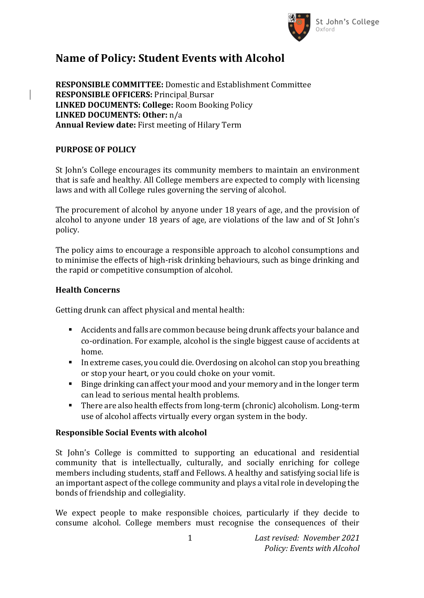

# **Name of Policy: Student Events with Alcohol**

**RESPONSIBLE COMMITTEE:** Domestic and Establishment Committee **RESPONSIBLE OFFICERS:** Principal Bursar **LINKED DOCUMENTS: College:** Room Booking Policy **LINKED DOCUMENTS: Other:** n/a **Annual Review date:** First meeting of Hilary Term

### **PURPOSE OF POLICY**

St John's College encourages its community members to maintain an environment that is safe and healthy. All College members are expected to comply with licensing laws and with all College rules governing the serving of alcohol.

The procurement of alcohol by anyone under 18 years of age, and the provision of alcohol to anyone under 18 years of age, are violations of the law and of St John's policy.

The policy aims to encourage a responsible approach to alcohol consumptions and to minimise the effects of high-risk drinking behaviours, such as binge drinking and the rapid or competitive consumption of alcohol.

### **Health Concerns**

Getting drunk can affect physical and mental health:

- Accidents and falls are common because being drunk affects your balance and co-ordination. For example, alcohol is the single biggest cause of accidents at home.
- In extreme cases, you could die. Overdosing on alcohol can stop you breathing or stop your heart, or you could choke on your vomit.
- Binge drinking can affect your mood and your memory and in the longer term can lead to serious mental health problems.
- There are also health effects from long-term (chronic) alcoholism. Long-term use of alcohol affects virtually every organ system in the body.

### **Responsible Social Events with alcohol**

St John's College is committed to supporting an educational and residential community that is intellectually, culturally, and socially enriching for college members including students, staff and Fellows. A healthy and satisfying social life is an important aspect of the college community and plays a vital role in developing the bonds of friendship and collegiality.

We expect people to make responsible choices, particularly if they decide to consume alcohol. College members must recognise the consequences of their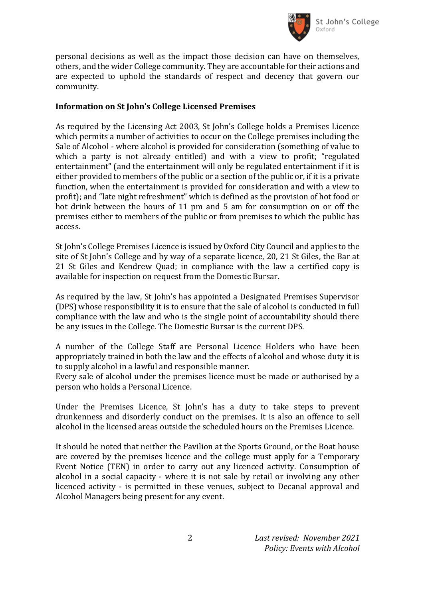

personal decisions as well as the impact those decision can have on themselves, others, and the wider College community. They are accountable for their actions and are expected to uphold the standards of respect and decency that govern our community.

#### **Information on St John's College Licensed Premises**

As required by the Licensing Act 2003, St John's College holds a Premises Licence which permits a number of activities to occur on the College premises including the Sale of Alcohol - where alcohol is provided for consideration (something of value to which a party is not already entitled) and with a view to profit; "regulated entertainment" (and the entertainment will only be regulated entertainment if it is either provided to members of the public or a section of the public or, if it is a private function, when the entertainment is provided for consideration and with a view to profit); and "late night refreshment" which is defined as the provision of hot food or hot drink between the hours of 11 pm and 5 am for consumption on or off the premises either to members of the public or from premises to which the public has access.

St John's College Premises Licence is issued by Oxford City Council and applies to the site of St John's College and by way of a separate licence, 20, 21 St Giles, the Bar at 21 St Giles and Kendrew Quad; in compliance with the law a certified copy is available for inspection on request from the Domestic Bursar.

As required by the law, St John's has appointed a Designated Premises Supervisor (DPS) whose responsibility it is to ensure that the sale of alcohol is conducted in full compliance with the law and who is the single point of accountability should there be any issues in the College. The Domestic Bursar is the current DPS.

A number of the College Staff are Personal Licence Holders who have been appropriately trained in both the law and the effects of alcohol and whose duty it is to supply alcohol in a lawful and responsible manner.

Every sale of alcohol under the premises licence must be made or authorised by a person who holds a Personal Licence.

Under the Premises Licence, St John's has a duty to take steps to prevent drunkenness and disorderly conduct on the premises. It is also an offence to sell alcohol in the licensed areas outside the scheduled hours on the Premises Licence.

It should be noted that neither the Pavilion at the Sports Ground, or the Boat house are covered by the premises licence and the college must apply for a Temporary Event Notice (TEN) in order to carry out any licenced activity. Consumption of alcohol in a social capacity - where it is not sale by retail or involving any other licenced activity - is permitted in these venues, subject to Decanal approval and Alcohol Managers being present for any event.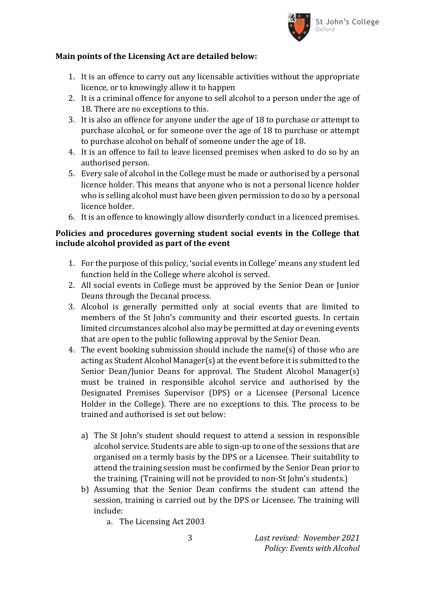

#### **Main points of the Licensing Act are detailed below:**

- 1. It is an offence to carry out any licensable activities without the appropriate licence, or to knowingly allow it to happen
- 2. It is a criminal offence for anyone to sell alcohol to a person under the age of 18. There are no exceptions to this.
- 3. It is also an offence for anyone under the age of 18 to purchase or attempt to purchase alcohol, or for someone over the age of 18 to purchase or attempt to purchase alcohol on behalf of someone under the age of 18.
- 4. It is an offence to fail to leave licensed premises when asked to do so by an authorised person.
- 5. Every sale of alcohol in the College must be made or authorised by a personal licence holder. This means that anyone who is not a personal licence holder who is selling alcohol must have been given permission to do so by a personal licence holder.
- 6. It is an offence to knowingly allow disorderly conduct in a licenced premises.

#### **Policies and procedures governing student social events in the College that include alcohol provided as part of the event**

- 1. For the purpose of this policy, 'social events in College' means any student led function held in the College where alcohol is served.
- 2. All social events in College must be approved by the Senior Dean or Junior Deans through the Decanal process.
- 3. Alcohol is generally permitted only at social events that are limited to members of the St John's community and their escorted guests. In certain limited circumstances alcohol also may be permitted at day or evening events that are open to the public following approval by the Senior Dean.
- 4. The event booking submission should include the name(s) of those who are acting as Student Alcohol Manager(s) at the event before it is submitted to the Senior Dean/Junior Deans for approval. The Student Alcohol Manager(s) must be trained in responsible alcohol service and authorised by the Designated Premises Supervisor (DPS) or a Licensee (Personal Licence Holder in the College). There are no exceptions to this. The process to be trained and authorised is set out below:
	- a) The St John's student should request to attend a session in responsible alcohol service. Students are able to sign-up to one of the sessions that are organised on a termly basis by the DPS or a Licensee. Their suitability to attend the training session must be confirmed by the Senior Dean prior to the training. (Training will not be provided to non-St John's students.)
	- b) Assuming that the Senior Dean confirms the student can attend the session, training is carried out by the DPS or Licensee. The training will include:
		- a. The Licensing Act 2003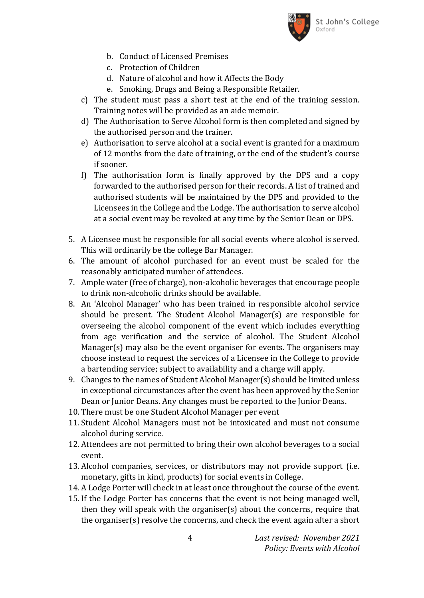

- b. Conduct of Licensed Premises
- c. Protection of Children
- d. Nature of alcohol and how it Affects the Body
- e. Smoking, Drugs and Being a Responsible Retailer.
- c) The student must pass a short test at the end of the training session. Training notes will be provided as an aide memoir.
- d) The Authorisation to Serve Alcohol form is then completed and signed by the authorised person and the trainer.
- e) Authorisation to serve alcohol at a social event is granted for a maximum of 12 months from the date of training, or the end of the student's course if sooner.
- f) The authorisation form is finally approved by the DPS and a copy forwarded to the authorised person for their records. A list of trained and authorised students will be maintained by the DPS and provided to the Licensees in the College and the Lodge. The authorisation to serve alcohol at a social event may be revoked at any time by the Senior Dean or DPS.
- 5. A Licensee must be responsible for all social events where alcohol is served. This will ordinarily be the college Bar Manager.
- 6. The amount of alcohol purchased for an event must be scaled for the reasonably anticipated number of attendees.
- 7. Ample water (free of charge), non-alcoholic beverages that encourage people to drink non-alcoholic drinks should be available.
- 8. An 'Alcohol Manager' who has been trained in responsible alcohol service should be present. The Student Alcohol Manager(s) are responsible for overseeing the alcohol component of the event which includes everything from age verification and the service of alcohol. The Student Alcohol Manager(s) may also be the event organiser for events. The organisers may choose instead to request the services of a Licensee in the College to provide a bartending service; subject to availability and a charge will apply.
- 9. Changes to the names of Student Alcohol Manager(s) should be limited unless in exceptional circumstances after the event has been approved by the Senior Dean or Junior Deans. Any changes must be reported to the Junior Deans.
- 10. There must be one Student Alcohol Manager per event
- 11. Student Alcohol Managers must not be intoxicated and must not consume alcohol during service.
- 12. Attendees are not permitted to bring their own alcohol beverages to a social event.
- 13. Alcohol companies, services, or distributors may not provide support (i.e. monetary, gifts in kind, products) for social events in College.
- 14. A Lodge Porter will check in at least once throughout the course of the event.
- 15. If the Lodge Porter has concerns that the event is not being managed well, then they will speak with the organiser(s) about the concerns, require that the organiser(s) resolve the concerns, and check the event again after a short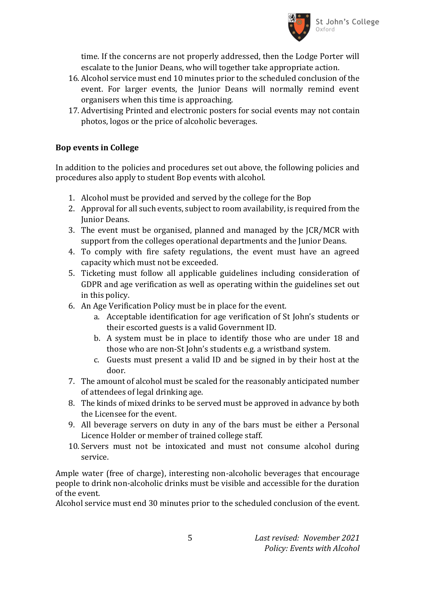

time. If the concerns are not properly addressed, then the Lodge Porter will escalate to the Junior Deans, who will together take appropriate action.

- 16. Alcohol service must end 10 minutes prior to the scheduled conclusion of the event. For larger events, the Junior Deans will normally remind event organisers when this time is approaching.
- 17. Advertising Printed and electronic posters for social events may not contain photos, logos or the price of alcoholic beverages.

### **Bop events in College**

In addition to the policies and procedures set out above, the following policies and procedures also apply to student Bop events with alcohol.

- 1. Alcohol must be provided and served by the college for the Bop
- 2. Approval for all such events, subject to room availability, is required from the Junior Deans.
- 3. The event must be organised, planned and managed by the JCR/MCR with support from the colleges operational departments and the Junior Deans.
- 4. To comply with fire safety regulations, the event must have an agreed capacity which must not be exceeded.
- 5. Ticketing must follow all applicable guidelines including consideration of GDPR and age verification as well as operating within the guidelines set out in this policy.
- 6. An Age Verification Policy must be in place for the event.
	- a. Acceptable identification for age verification of St John's students or their escorted guests is a valid Government ID.
	- b. A system must be in place to identify those who are under 18 and those who are non-St John's students e.g. a wristband system.
	- c. Guests must present a valid ID and be signed in by their host at the door.
- 7. The amount of alcohol must be scaled for the reasonably anticipated number of attendees of legal drinking age.
- 8. The kinds of mixed drinks to be served must be approved in advance by both the Licensee for the event.
- 9. All beverage servers on duty in any of the bars must be either a Personal Licence Holder or member of trained college staff.
- 10. Servers must not be intoxicated and must not consume alcohol during service.

Ample water (free of charge), interesting non-alcoholic beverages that encourage people to drink non-alcoholic drinks must be visible and accessible for the duration of the event.

Alcohol service must end 30 minutes prior to the scheduled conclusion of the event.